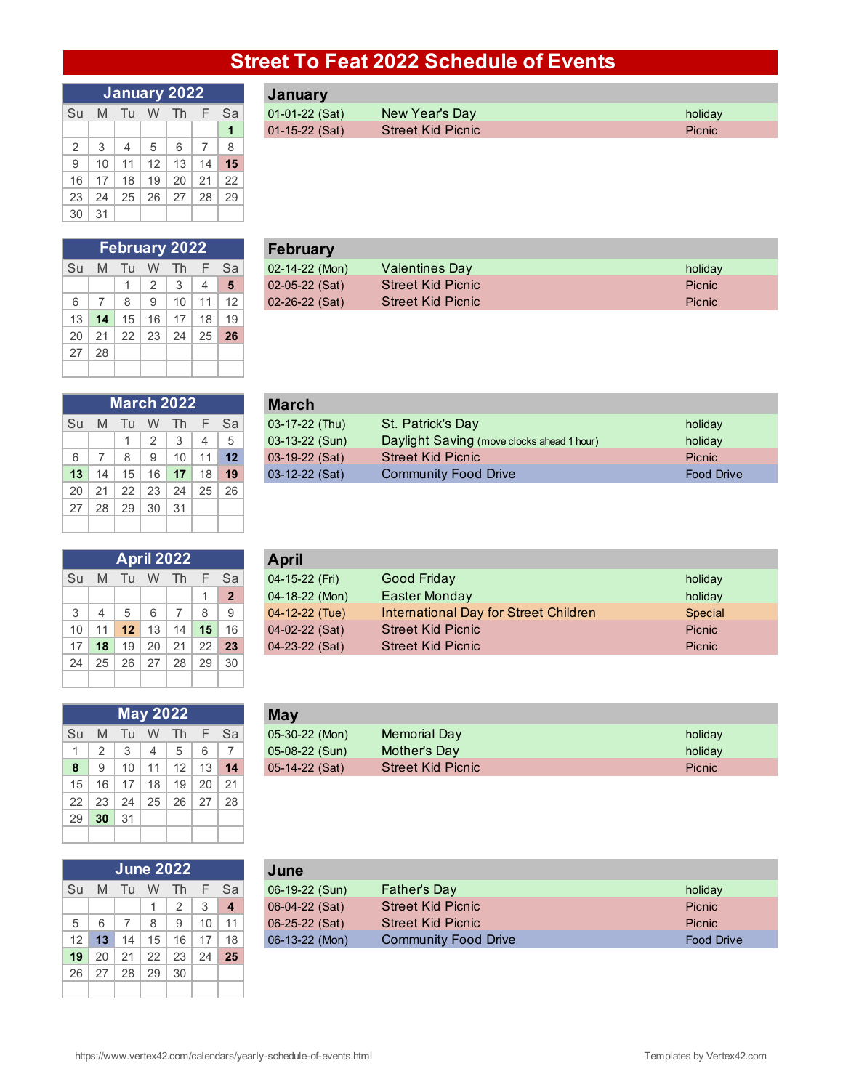## **Street To Feat 2022 Schedule of Events**

| January 2022 |    |    |    |    |    |    |  |  |  |  |
|--------------|----|----|----|----|----|----|--|--|--|--|
| Su           | M  | Tu | W  | Th | F  | Sa |  |  |  |  |
|              |    |    |    |    |    | 1  |  |  |  |  |
| 2            | 3  | 4  | 5  | 6  | 7  | 8  |  |  |  |  |
| 9            | 10 | 11 | 12 | 13 | 14 | 15 |  |  |  |  |
| 16           | 17 | 18 | 19 | 20 | 21 | 22 |  |  |  |  |
| 23           | 24 | 25 | 26 | 27 | 28 | 29 |  |  |  |  |
| 30           | 31 |    |    |    |    |    |  |  |  |  |

| January 2022 |  |  |  |  |                   | January          |                          |               |
|--------------|--|--|--|--|-------------------|------------------|--------------------------|---------------|
|              |  |  |  |  | Su M Tu W Th F Sa | $01-01-22$ (Sat) | New Year's Day           | holiday       |
|              |  |  |  |  |                   | $01-15-22$ (Sat) | <b>Street Kid Picnic</b> | <b>Picnic</b> |

|    | <b>February 2022</b> |    |    |    |                          |    |  |  |  |  |  |
|----|----------------------|----|----|----|--------------------------|----|--|--|--|--|--|
| Su | M                    | Tu | W  | Th | F                        | Sa |  |  |  |  |  |
|    |                      | 1  | 2  | 3  | $\overline{\mathcal{A}}$ | 5  |  |  |  |  |  |
| 6  | 7                    | 8  | 9  | 10 | 11                       | 12 |  |  |  |  |  |
| 13 | 14                   | 15 | 16 | 17 | 18                       | 19 |  |  |  |  |  |
| 20 | 21                   | 22 | 23 | 24 | 25                       | 26 |  |  |  |  |  |
| 27 | 28                   |    |    |    |                          |    |  |  |  |  |  |
|    |                      |    |    |    |                          |    |  |  |  |  |  |

|  |  | <b>February 2022</b> |      | February             |                          |               |  |  |  |  |
|--|--|----------------------|------|----------------------|--------------------------|---------------|--|--|--|--|
|  |  | Su M Tu W Th         | - Sa | $02-14-22$ (Mon)     | <b>Valentines Day</b>    | holiday       |  |  |  |  |
|  |  |                      |      | $02-05-22$ (Sat)     | <b>Street Kid Picnic</b> | Picnic        |  |  |  |  |
|  |  |                      | 12   | $02 - 26 - 22$ (Sat) | <b>Street Kid Picnic</b> | <b>Picnic</b> |  |  |  |  |

| <b>March 2022</b> |    |    |    |    |    |    |  |  |  |  |
|-------------------|----|----|----|----|----|----|--|--|--|--|
| Su                | M  | Tu | W  | Th | F  | Sa |  |  |  |  |
|                   |    | 1  | 2  | 3  | 4  | 5  |  |  |  |  |
| 6                 | 7  | 8  | 9  | 10 | 11 | 12 |  |  |  |  |
| 13                | 14 | 15 | 16 | 17 | 18 | 19 |  |  |  |  |
| 20                | 21 | 22 | 23 | 24 | 25 | 26 |  |  |  |  |
| 27                | 28 | 29 | 30 | 31 |    |    |  |  |  |  |
|                   |    |    |    |    |    |    |  |  |  |  |

| April 2022 |                          |    |    |    |    |                |  |  |  |
|------------|--------------------------|----|----|----|----|----------------|--|--|--|
| Su         | M                        | Tu | W  | Th | F  | Sa             |  |  |  |
|            |                          |    |    |    | 1  | $\overline{2}$ |  |  |  |
| 3          | $\overline{\mathcal{L}}$ | 5  | 6  | 7  | 8  | 9              |  |  |  |
| 10         | 11                       | 12 | 13 | 14 | 15 | 16             |  |  |  |
| 17         | 18                       | 19 | 20 | 21 | 22 | 23             |  |  |  |
| 24         | 25                       | 26 | 27 | 28 | 29 | 30             |  |  |  |
|            |                          |    |    |    |    |                |  |  |  |

| <b>May 2022</b> |    |    |                |                 |             |    |  |  |  |
|-----------------|----|----|----------------|-----------------|-------------|----|--|--|--|
| Su              | M  | Tu | W.             | Th.             | $\mathsf F$ | Sa |  |  |  |
| 1               | 2  | 3  | $\overline{4}$ | 5               | 6           | 7  |  |  |  |
| 8               | 9  | 10 | 11             | 12 <sup>2</sup> | 13          | 14 |  |  |  |
| 15              | 16 | 17 | 18             | 19              | 20          | 21 |  |  |  |
| 22              | 23 | 24 | 25             | 26              | -27         | 28 |  |  |  |
| 29              | 30 | 31 |                |                 |             |    |  |  |  |
|                 |    |    |                |                 |             |    |  |  |  |

|    | June 2022 |    |    |    |    |    |  |  |  |  |  |
|----|-----------|----|----|----|----|----|--|--|--|--|--|
| Su | M         | Tu | W  | Th | F  | Sa |  |  |  |  |  |
|    |           |    |    | 2  | 3  | 4  |  |  |  |  |  |
| 5  | 6         | 7  | 8  | 9  | 10 | 11 |  |  |  |  |  |
| 12 | 13        | 14 | 15 | 16 | 17 | 18 |  |  |  |  |  |
| 19 | 20        | 21 | 22 | 23 | 24 | 25 |  |  |  |  |  |
| 26 | 27        | 28 | 29 | 30 |    |    |  |  |  |  |  |
|    |           |    |    |    |    |    |  |  |  |  |  |

|    |   |    | <b>March 2022</b> |                 |                 |         | <b>March</b>     |                                            |                   |  |  |  |  |
|----|---|----|-------------------|-----------------|-----------------|---------|------------------|--------------------------------------------|-------------------|--|--|--|--|
| Su | M |    | Tu W              | - Th            | F.              | - Sa    | 03-17-22 (Thu)   | St. Patrick's Day                          | holiday           |  |  |  |  |
|    |   |    | $\Omega$          | $\Omega$        |                 |         | 03-13-22 (Sun)   | Daylight Saving (move clocks ahead 1 hour) | holiday           |  |  |  |  |
| 6  |   | 8  | 9                 | 10 <sup>1</sup> |                 | $11$ 12 | 03-19-22 (Sat)   | <b>Street Kid Picnic</b>                   | <b>Picnic</b>     |  |  |  |  |
| 13 |   | 15 | 16                | 17 <sup>2</sup> | 18 <sup>1</sup> | 19      | $03-12-22$ (Sat) | <b>Community Food Drive</b>                | <b>Food Drive</b> |  |  |  |  |
|    |   |    |                   |                 |                 |         |                  |                                            |                   |  |  |  |  |

|                 |    | <b>April 2022</b> |    |    |    |              | <b>April</b>     |                                       |         |  |  |  |  |
|-----------------|----|-------------------|----|----|----|--------------|------------------|---------------------------------------|---------|--|--|--|--|
| Su              | M  | Тu                | W  | Th |    | Sa i         | 04-15-22 (Fri)   | Good Friday                           | holiday |  |  |  |  |
|                 |    |                   |    |    |    | $\mathbf{2}$ | 04-18-22 (Mon)   | Easter Monday                         | holiday |  |  |  |  |
| 3               |    | 5                 |    |    |    |              | 04-12-22 (Tue)   | International Day for Street Children | Special |  |  |  |  |
| 10 <sup>1</sup> |    | 12                | 13 | 14 | 15 | 16           | 04-02-22 (Sat)   | <b>Street Kid Picnic</b>              | Picnic  |  |  |  |  |
| 17              | 18 | 19                | 20 | 21 | 22 | 23           | $04-23-22$ (Sat) | <b>Street Kid Picnic</b>              | Picnic  |  |  |  |  |

|   |   |           |    | <b>May 2022</b>   |                 |    | May              |                          |               |
|---|---|-----------|----|-------------------|-----------------|----|------------------|--------------------------|---------------|
|   |   | Su M Tu W |    | Th.               |                 | Sa | 05-30-22 (Mon)   | Memorial Day             | holiday       |
|   |   | $\sim$    |    |                   |                 | -  | 05-08-22 (Sun)   | Mother's Day             | holiday       |
| 8 | q | 10        | 11 | $12 \overline{ }$ | 13 <sub>h</sub> | 14 | $05-14-22$ (Sat) | <b>Street Kid Picnic</b> | <b>Picnic</b> |
|   |   |           |    |                   |                 |    |                  |                          |               |

|                 |    |       |    | <b>June 2022</b> |    |      | June             |                             |                   |
|-----------------|----|-------|----|------------------|----|------|------------------|-----------------------------|-------------------|
| Su              | M  | - Tu- |    | W Th             | F. | - Sa | 06-19-22 (Sun)   | <b>Father's Day</b>         | holiday           |
|                 |    |       |    |                  |    |      | $06-04-22$ (Sat) | <b>Street Kid Picnic</b>    | <b>Picnic</b>     |
| 5 <sup>5</sup>  |    |       |    |                  | 10 | 11   | $06-25-22$ (Sat) | <b>Street Kid Picnic</b>    | <b>Picnic</b>     |
| 12 <sub>1</sub> | 13 | 14    | 15 | 16               |    | 18   | $06-13-22$ (Mon) | <b>Community Food Drive</b> | <b>Food Drive</b> |